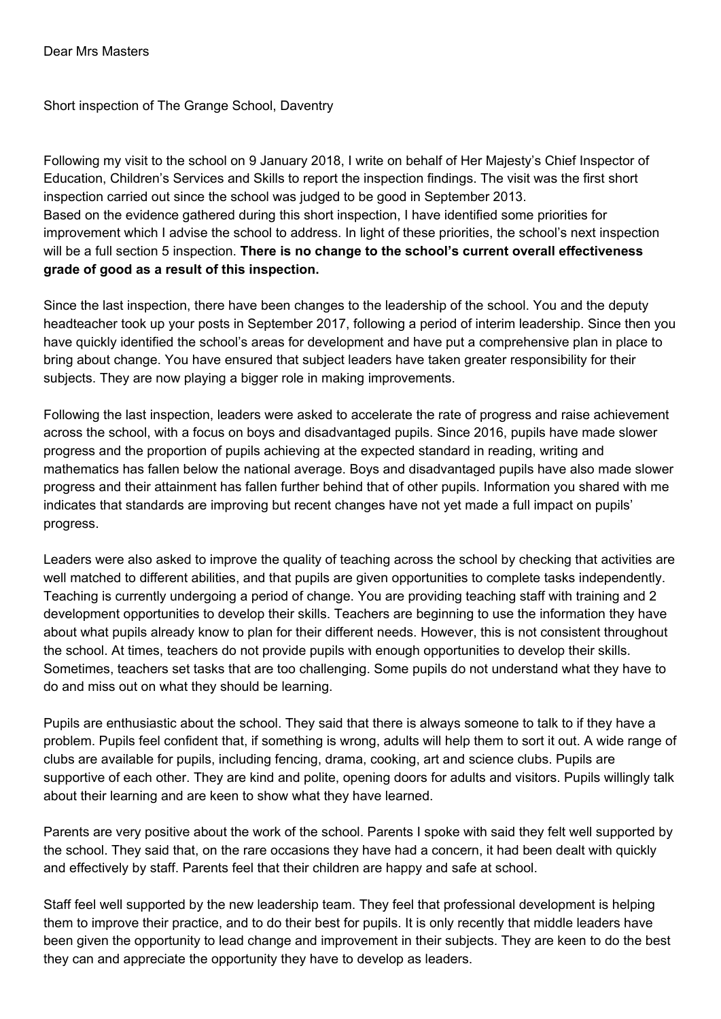Short inspection of The Grange School, Daventry

Following my visit to the school on 9 January 2018, I write on behalf of Her Majesty's Chief Inspector of Education, Children's Services and Skills to report the inspection findings. The visit was the first short inspection carried out since the school was judged to be good in September 2013. Based on the evidence gathered during this short inspection, I have identified some priorities for improvement which I advise the school to address. In light of these priorities, the school's next inspection will be a full section 5 inspection. **There is no change to the school's current overall effectiveness grade of good as a result of this inspection.**

Since the last inspection, there have been changes to the leadership of the school. You and the deputy headteacher took up your posts in September 2017, following a period of interim leadership. Since then you have quickly identified the school's areas for development and have put a comprehensive plan in place to bring about change. You have ensured that subject leaders have taken greater responsibility for their subjects. They are now playing a bigger role in making improvements.

Following the last inspection, leaders were asked to accelerate the rate of progress and raise achievement across the school, with a focus on boys and disadvantaged pupils. Since 2016, pupils have made slower progress and the proportion of pupils achieving at the expected standard in reading, writing and mathematics has fallen below the national average. Boys and disadvantaged pupils have also made slower progress and their attainment has fallen further behind that of other pupils. Information you shared with me indicates that standards are improving but recent changes have not yet made a full impact on pupils' progress.

Leaders were also asked to improve the quality of teaching across the school by checking that activities are well matched to different abilities, and that pupils are given opportunities to complete tasks independently. Teaching is currently undergoing a period of change. You are providing teaching staff with training and 2 development opportunities to develop their skills. Teachers are beginning to use the information they have about what pupils already know to plan for their different needs. However, this is not consistent throughout the school. At times, teachers do not provide pupils with enough opportunities to develop their skills. Sometimes, teachers set tasks that are too challenging. Some pupils do not understand what they have to do and miss out on what they should be learning.

Pupils are enthusiastic about the school. They said that there is always someone to talk to if they have a problem. Pupils feel confident that, if something is wrong, adults will help them to sort it out. A wide range of clubs are available for pupils, including fencing, drama, cooking, art and science clubs. Pupils are supportive of each other. They are kind and polite, opening doors for adults and visitors. Pupils willingly talk about their learning and are keen to show what they have learned.

Parents are very positive about the work of the school. Parents I spoke with said they felt well supported by the school. They said that, on the rare occasions they have had a concern, it had been dealt with quickly and effectively by staff. Parents feel that their children are happy and safe at school.

Staff feel well supported by the new leadership team. They feel that professional development is helping them to improve their practice, and to do their best for pupils. It is only recently that middle leaders have been given the opportunity to lead change and improvement in their subjects. They are keen to do the best they can and appreciate the opportunity they have to develop as leaders.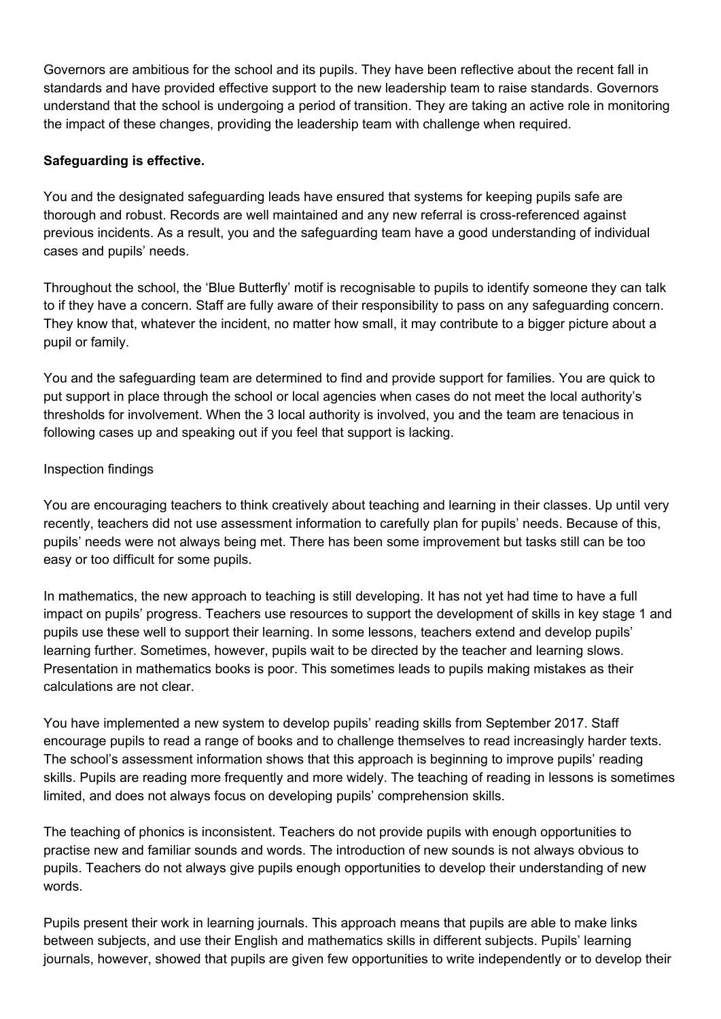Governors are ambitious for the school and its pupils. They have been reflective about the recent fall in standards and have provided effective support to the new leadership team to raise standards. Governors understand that the school is undergoing a period of transition. They are taking an active role in monitoring the impact of these changes, providing the leadership team with challenge when required.

## **Safeguarding is effective.**

You and the designated safeguarding leads have ensured that systems for keeping pupils safe are thorough and robust. Records are well maintained and any new referral is cross-referenced against previous incidents. As a result, you and the safeguarding team have a good understanding of individual cases and pupils' needs.

Throughout the school, the 'Blue Butterfly' motif is recognisable to pupils to identify someone they can talk to if they have a concern. Staff are fully aware of their responsibility to pass on any safeguarding concern. They know that, whatever the incident, no matter how small, it may contribute to a bigger picture about a pupil or family.

You and the safeguarding team are determined to find and provide support for families. You are quick to put support in place through the school or local agencies when cases do not meet the local authority's thresholds for involvement. When the 3 local authority is involved, you and the team are tenacious in following cases up and speaking out if you feel that support is lacking.

## Inspection findings

You are encouraging teachers to think creatively about teaching and learning in their classes. Up until very recently, teachers did not use assessment information to carefully plan for pupils' needs. Because of this, pupils' needs were not always being met. There has been some improvement but tasks still can be too easy or too difficult for some pupils.

In mathematics, the new approach to teaching is still developing. It has not yet had time to have a full impact on pupils' progress. Teachers use resources to support the development of skills in key stage 1 and pupils use these well to support their learning. In some lessons, teachers extend and develop pupils' learning further. Sometimes, however, pupils wait to be directed by the teacher and learning slows. Presentation in mathematics books is poor. This sometimes leads to pupils making mistakes as their calculations are not clear.

You have implemented a new system to develop pupils' reading skills from September 2017. Staff encourage pupils to read a range of books and to challenge themselves to read increasingly harder texts. The school's assessment information shows that this approach is beginning to improve pupils' reading skills. Pupils are reading more frequently and more widely. The teaching of reading in lessons is sometimes limited, and does not always focus on developing pupils' comprehension skills.

The teaching of phonics is inconsistent. Teachers do not provide pupils with enough opportunities to practise new and familiar sounds and words. The introduction of new sounds is not always obvious to pupils. Teachers do not always give pupils enough opportunities to develop their understanding of new words.

Pupils present their work in learning journals. This approach means that pupils are able to make links between subjects, and use their English and mathematics skills in different subjects. Pupils' learning journals, however, showed that pupils are given few opportunities to write independently or to develop their